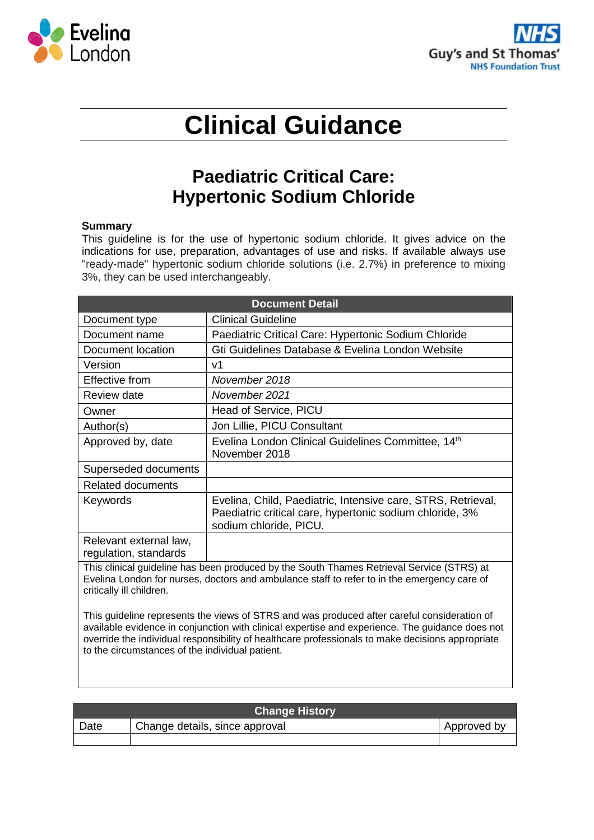



# **Clinical Guidance**

## **Paediatric Critical Care: Hypertonic Sodium Chloride**

#### **Summary**

This guideline is for the use of hypertonic sodium chloride. It gives advice on the indications for use, preparation, advantages of use and risks. If available always use "ready-made" hypertonic sodium chloride solutions (i.e. 2.7%) in preference to mixing 3%, they can be used interchangeably.

| <b>Document Detail</b>                                                                                                                                                                                               |                                                                                                                                                    |  |
|----------------------------------------------------------------------------------------------------------------------------------------------------------------------------------------------------------------------|----------------------------------------------------------------------------------------------------------------------------------------------------|--|
| Document type                                                                                                                                                                                                        | <b>Clinical Guideline</b>                                                                                                                          |  |
| Document name                                                                                                                                                                                                        | Paediatric Critical Care: Hypertonic Sodium Chloride                                                                                               |  |
| Document location                                                                                                                                                                                                    | Gti Guidelines Database & Evelina London Website                                                                                                   |  |
| Version                                                                                                                                                                                                              | v1                                                                                                                                                 |  |
| Effective from                                                                                                                                                                                                       | November 2018                                                                                                                                      |  |
| Review date                                                                                                                                                                                                          | November 2021                                                                                                                                      |  |
| Owner                                                                                                                                                                                                                | Head of Service, PICU                                                                                                                              |  |
| Author(s)                                                                                                                                                                                                            | Jon Lillie, PICU Consultant                                                                                                                        |  |
| Approved by, date                                                                                                                                                                                                    | Evelina London Clinical Guidelines Committee, 14th<br>November 2018                                                                                |  |
| Superseded documents                                                                                                                                                                                                 |                                                                                                                                                    |  |
| <b>Related documents</b>                                                                                                                                                                                             |                                                                                                                                                    |  |
| Keywords                                                                                                                                                                                                             | Evelina, Child, Paediatric, Intensive care, STRS, Retrieval,<br>Paediatric critical care, hypertonic sodium chloride, 3%<br>sodium chloride, PICU. |  |
| Relevant external law,<br>regulation, standards                                                                                                                                                                      |                                                                                                                                                    |  |
| This clinical guideline has been produced by the South Thames Retrieval Service (STRS) at<br>Evelina London for nurses, doctors and ambulance staff to refer to in the emergency care of<br>critically ill children. |                                                                                                                                                    |  |
| This guideline represents the views of STRS and was produced after careful consideration of                                                                                                                          |                                                                                                                                                    |  |

available evidence in conjunction with clinical expertise and experience. The guidance does not override the individual responsibility of healthcare professionals to make decisions appropriate to the circumstances of the individual patient.

| <b>Change History</b> |                                |             |  |
|-----------------------|--------------------------------|-------------|--|
| Date                  | Change details, since approval | Approved by |  |
|                       |                                |             |  |